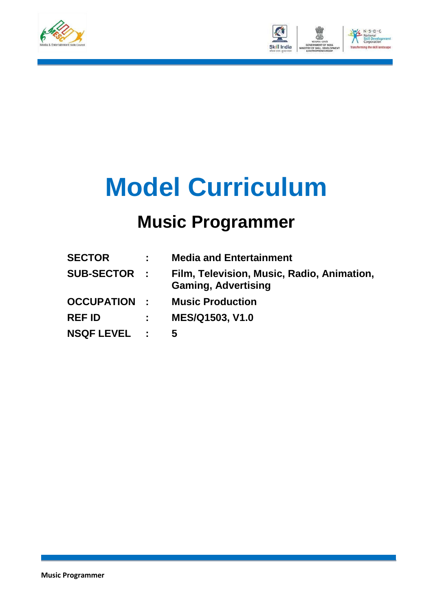



# **Model Curriculum**

### **Music Programmer**

| <b>SECTOR</b>       |             | <b>Media and Entertainment</b>                                           |
|---------------------|-------------|--------------------------------------------------------------------------|
| <b>SUB-SECTOR :</b> |             | Film, Television, Music, Radio, Animation,<br><b>Gaming, Advertising</b> |
| <b>OCCUPATION :</b> |             | <b>Music Production</b>                                                  |
| <b>REF ID</b>       | $\sim 1000$ | MES/Q1503, V1.0                                                          |
| <b>NSQF LEVEL :</b> |             | 5                                                                        |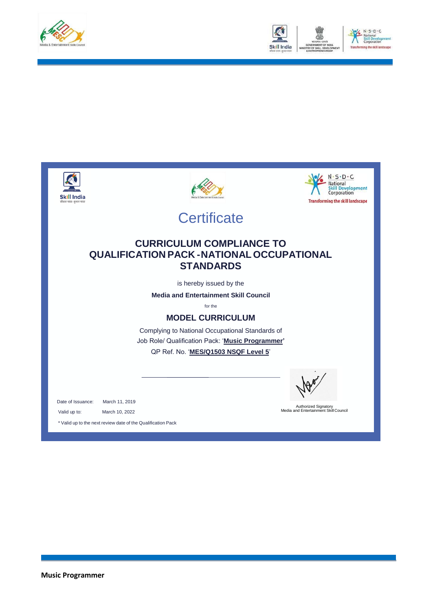



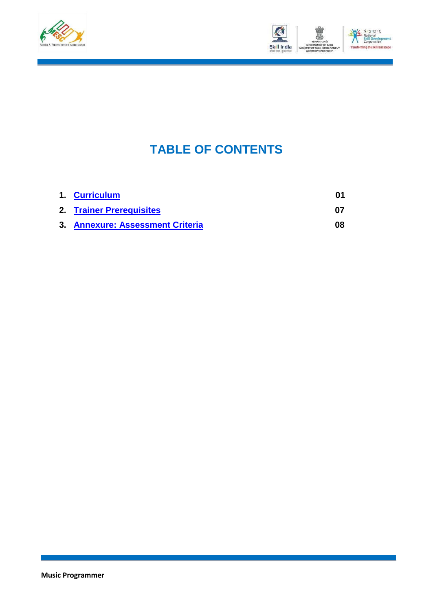



### **TABLE OF CONTENTS**

| 1. Curriculum                    |    |
|----------------------------------|----|
| 2. Trainer Prerequisites         | በ7 |
| 3. Annexure: Assessment Criteria | 08 |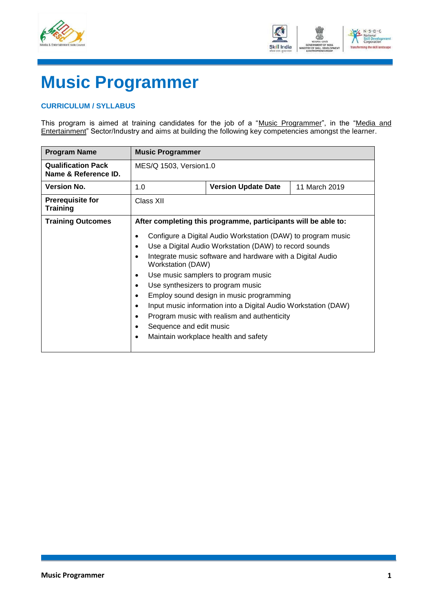



## **Music Programmer**

#### <span id="page-3-0"></span>**CURRICULUM / SYLLABUS**

This program is aimed at training candidates for the job of a "Music Programmer", in the "Media and Entertainment" Sector/Industry and aims at building the following key competencies amongst the learner.

| <b>Program Name</b>                               | <b>Music Programmer</b>                                                                                        |                                                                                                                                                                                                                                                                                                                                                                                                                                                                                                                       |               |  |  |
|---------------------------------------------------|----------------------------------------------------------------------------------------------------------------|-----------------------------------------------------------------------------------------------------------------------------------------------------------------------------------------------------------------------------------------------------------------------------------------------------------------------------------------------------------------------------------------------------------------------------------------------------------------------------------------------------------------------|---------------|--|--|
| <b>Qualification Pack</b><br>Name & Reference ID. | MES/Q 1503, Version1.0                                                                                         |                                                                                                                                                                                                                                                                                                                                                                                                                                                                                                                       |               |  |  |
| <b>Version No.</b>                                | 1.0                                                                                                            | <b>Version Update Date</b>                                                                                                                                                                                                                                                                                                                                                                                                                                                                                            | 11 March 2019 |  |  |
| <b>Prerequisite for</b><br><b>Training</b>        | Class XII                                                                                                      |                                                                                                                                                                                                                                                                                                                                                                                                                                                                                                                       |               |  |  |
| <b>Training Outcomes</b>                          | After completing this programme, participants will be able to:                                                 |                                                                                                                                                                                                                                                                                                                                                                                                                                                                                                                       |               |  |  |
|                                                   | ٠<br>$\bullet$<br>$\bullet$<br>٠<br>$\bullet$<br>$\bullet$<br>$\bullet$<br>$\bullet$<br>$\bullet$<br>$\bullet$ | Configure a Digital Audio Workstation (DAW) to program music<br>Use a Digital Audio Workstation (DAW) to record sounds<br>Integrate music software and hardware with a Digital Audio<br>Workstation (DAW)<br>Use music samplers to program music<br>Use synthesizers to program music<br>Employ sound design in music programming<br>Input music information into a Digital Audio Workstation (DAW)<br>Program music with realism and authenticity<br>Sequence and edit music<br>Maintain workplace health and safety |               |  |  |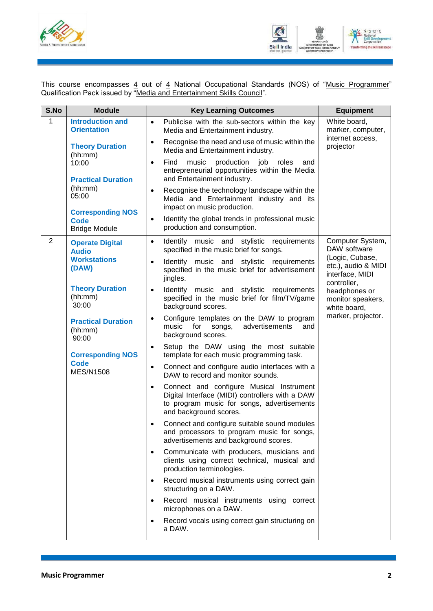



This course encompasses <u>4</u> out of <u>4</u> National Occupational Standards (NOS) of "<u>Music Programmer</u>" Qualification Pack issued by "Media and Entertainment Skills Council".

| S.No           | <b>Module</b>                                                   | <b>Key Learning Outcomes</b>                                                                                                                                                     | <b>Equipment</b>                                                         |
|----------------|-----------------------------------------------------------------|----------------------------------------------------------------------------------------------------------------------------------------------------------------------------------|--------------------------------------------------------------------------|
| 1              | <b>Introduction and</b><br><b>Orientation</b>                   | Publicise with the sub-sectors within the key<br>$\bullet$<br>Media and Entertainment industry.<br>Recognise the need and use of music within the<br>$\bullet$                   | White board,<br>marker, computer,<br>internet access,                    |
|                | <b>Theory Duration</b><br>(hh:mm)                               | Media and Entertainment industry.                                                                                                                                                | projector                                                                |
|                | 10:00<br><b>Practical Duration</b>                              | production<br>Find<br>music<br>job<br>roles<br>and<br>$\bullet$<br>entrepreneurial opportunities within the Media<br>and Entertainment industry.                                 |                                                                          |
|                | (hh:mm)<br>05:00                                                | Recognise the technology landscape within the<br>$\bullet$<br>Media and Entertainment industry and its<br>impact on music production.                                            |                                                                          |
|                | <b>Corresponding NOS</b><br><b>Code</b><br><b>Bridge Module</b> | Identify the global trends in professional music<br>$\bullet$<br>production and consumption.                                                                                     |                                                                          |
| $\overline{2}$ | <b>Operate Digital</b><br><b>Audio</b>                          | Identify music and stylistic requirements<br>$\bullet$<br>specified in the music brief for songs.                                                                                | Computer System,<br>DAW software                                         |
|                | <b>Workstations</b><br>(DAW)                                    | Identify music and stylistic requirements<br>$\bullet$<br>specified in the music brief for advertisement<br>jingles.                                                             | (Logic, Cubase,<br>etc.), audio & MIDI<br>interface, MIDI<br>controller, |
|                | <b>Theory Duration</b><br>(hh:mm)<br>30:00                      | Identify music and stylistic requirements<br>$\bullet$<br>specified in the music brief for film/TV/game<br>background scores.                                                    | headphones or<br>monitor speakers,<br>white board,                       |
|                | <b>Practical Duration</b><br>(hh:mm)<br>90:00                   | Configure templates on the DAW to program<br>$\bullet$<br>music<br>for<br>advertisements<br>songs,<br>and<br>background scores.                                                  | marker, projector.                                                       |
|                | <b>Corresponding NOS</b>                                        | Setup the DAW using the most suitable<br>$\bullet$<br>template for each music programming task.                                                                                  |                                                                          |
|                | <b>Code</b><br><b>MES/N1508</b>                                 | Connect and configure audio interfaces with a<br>$\bullet$<br>DAW to record and monitor sounds.                                                                                  |                                                                          |
|                |                                                                 | Connect and configure Musical Instrument<br>$\bullet$<br>Digital Interface (MIDI) controllers with a DAW<br>to program music for songs, advertisements<br>and background scores. |                                                                          |
|                |                                                                 | Connect and configure suitable sound modules<br>٠<br>and processors to program music for songs,<br>advertisements and background scores.                                         |                                                                          |
|                |                                                                 | Communicate with producers, musicians and<br>٠<br>clients using correct technical, musical and<br>production terminologies.                                                      |                                                                          |
|                |                                                                 | Record musical instruments using correct gain<br>$\bullet$<br>structuring on a DAW.                                                                                              |                                                                          |
|                |                                                                 | Record musical instruments using correct<br>microphones on a DAW.                                                                                                                |                                                                          |
|                |                                                                 | Record vocals using correct gain structuring on<br>a DAW.                                                                                                                        |                                                                          |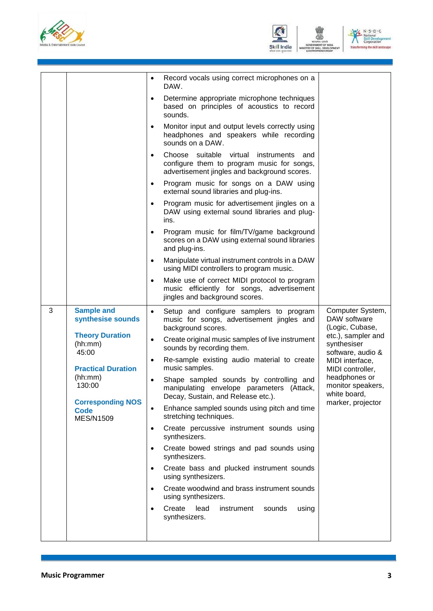





|   |                                                             | $\bullet$ | Record vocals using correct microphones on a<br>DAW.                                                                                        |                                                        |
|---|-------------------------------------------------------------|-----------|---------------------------------------------------------------------------------------------------------------------------------------------|--------------------------------------------------------|
|   |                                                             | $\bullet$ | Determine appropriate microphone techniques<br>based on principles of acoustics to record<br>sounds.                                        |                                                        |
|   |                                                             | $\bullet$ | Monitor input and output levels correctly using<br>headphones and speakers while recording<br>sounds on a DAW.                              |                                                        |
|   |                                                             | $\bullet$ | Choose suitable virtual<br>instruments<br>and<br>configure them to program music for songs,<br>advertisement jingles and background scores. |                                                        |
|   |                                                             | $\bullet$ | Program music for songs on a DAW using<br>external sound libraries and plug-ins.                                                            |                                                        |
|   |                                                             | $\bullet$ | Program music for advertisement jingles on a<br>DAW using external sound libraries and plug-<br>ins.                                        |                                                        |
|   |                                                             | $\bullet$ | Program music for film/TV/game background<br>scores on a DAW using external sound libraries<br>and plug-ins.                                |                                                        |
|   |                                                             | $\bullet$ | Manipulate virtual instrument controls in a DAW<br>using MIDI controllers to program music.                                                 |                                                        |
|   |                                                             | $\bullet$ | Make use of correct MIDI protocol to program<br>music efficiently for songs, advertisement<br>jingles and background scores.                |                                                        |
| 3 | <b>Sample and</b><br>synthesise sounds                      | $\bullet$ | Setup and configure samplers to program<br>music for songs, advertisement jingles and<br>background scores.                                 | Computer System,<br>DAW software<br>(Logic, Cubase,    |
|   | <b>Theory Duration</b><br>(hh:mm)<br>45:00                  | $\bullet$ | Create original music samples of live instrument<br>sounds by recording them.                                                               | etc.), sampler and<br>synthesiser<br>software, audio & |
|   | <b>Practical Duration</b>                                   | $\bullet$ | Re-sample existing audio material to create<br>music samples.                                                                               | MIDI interface,<br>MIDI controller,                    |
|   | (hh:mm)<br>130:00                                           |           | Shape sampled sounds by controlling and<br>manipulating envelope parameters (Attack,<br>Decay, Sustain, and Release etc.).                  | headphones or<br>monitor speakers,<br>white board,     |
|   | <b>Corresponding NOS</b><br><b>Code</b><br><b>MES/N1509</b> | $\bullet$ | Enhance sampled sounds using pitch and time<br>stretching techniques.                                                                       | marker, projector                                      |
|   |                                                             | $\bullet$ | Create percussive instrument sounds using<br>synthesizers.                                                                                  |                                                        |
|   |                                                             | $\bullet$ | Create bowed strings and pad sounds using<br>synthesizers.                                                                                  |                                                        |
|   |                                                             | $\bullet$ | Create bass and plucked instrument sounds<br>using synthesizers.                                                                            |                                                        |
|   |                                                             | $\bullet$ | Create woodwind and brass instrument sounds<br>using synthesizers.                                                                          |                                                        |
|   |                                                             | $\bullet$ | Create<br>lead<br>sounds<br>using<br>instrument<br>synthesizers.                                                                            |                                                        |
|   |                                                             |           |                                                                                                                                             |                                                        |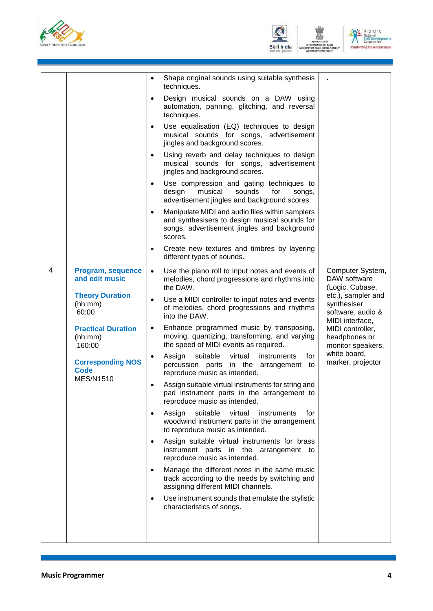





| 4<br>Program, sequence<br>and edit music<br><b>Theory Duration</b><br>(hh:mm)<br>60:00                        | Shape original sounds using suitable synthesis<br>٠<br>techniques.<br>Design musical sounds on a DAW using<br>$\bullet$<br>automation, panning, glitching, and reversal<br>techniques.<br>Use equalisation (EQ) techniques to design<br>$\bullet$<br>musical sounds for songs, advertisement<br>jingles and background scores.<br>Using reverb and delay techniques to design<br>$\bullet$<br>musical sounds for songs, advertisement<br>jingles and background scores.<br>Use compression and gating techniques to<br>$\bullet$<br>musical<br>design<br>sounds<br>for<br>songs,<br>advertisement jingles and background scores.<br>Manipulate MIDI and audio files within samplers<br>$\bullet$<br>and synthesisers to design musical sounds for<br>songs, advertisement jingles and background<br>scores.<br>Create new textures and timbres by layering<br>$\bullet$<br>different types of sounds.<br>Use the piano roll to input notes and events of<br>$\bullet$<br>melodies, chord progressions and rhythms into<br>the DAW.<br>Use a MIDI controller to input notes and events<br>$\bullet$<br>of melodies, chord progressions and rhythms<br>into the DAW. | Computer System,<br>DAW software<br>(Logic, Cubase,<br>etc.), sampler and<br>synthesiser<br>software, audio & |
|---------------------------------------------------------------------------------------------------------------|--------------------------------------------------------------------------------------------------------------------------------------------------------------------------------------------------------------------------------------------------------------------------------------------------------------------------------------------------------------------------------------------------------------------------------------------------------------------------------------------------------------------------------------------------------------------------------------------------------------------------------------------------------------------------------------------------------------------------------------------------------------------------------------------------------------------------------------------------------------------------------------------------------------------------------------------------------------------------------------------------------------------------------------------------------------------------------------------------------------------------------------------------------------------|---------------------------------------------------------------------------------------------------------------|
| <b>Practical Duration</b><br>(hh:mm)<br>160:00<br><b>Corresponding NOS</b><br><b>Code</b><br><b>MES/N1510</b> | Enhance programmed music by transposing,<br>moving, quantizing, transforming, and varying<br>the speed of MIDI events as required.<br>Assign<br>suitable<br>virtual<br>instruments<br>for<br>$\bullet$<br>percussion parts in the arrangement to<br>reproduce music as intended.<br>Assign suitable virtual instruments for string and<br>$\bullet$<br>pad instrument parts in the arrangement to<br>reproduce music as intended.<br>Assign<br>suitable<br>virtual<br>instruments<br>tor<br>$\bullet$<br>woodwind instrument parts in the arrangement<br>to reproduce music as intended.<br>Assign suitable virtual instruments for brass<br>$\bullet$<br>instrument parts in the arrangement to<br>reproduce music as intended.<br>Manage the different notes in the same music<br>$\bullet$<br>track according to the needs by switching and<br>assigning different MIDI channels.<br>Use instrument sounds that emulate the stylistic<br>$\bullet$<br>characteristics of songs.                                                                                                                                                                                 | MIDI controller,<br>headphones or<br>monitor speakers,<br>white board,<br>marker, projector                   |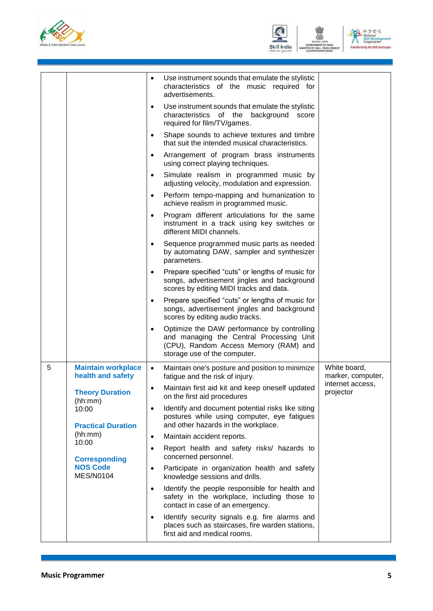





|   |                                                | Use instrument sounds that emulate the stylistic<br>$\bullet$<br>characteristics of the music required for<br>advertisements.                                    |                                   |
|---|------------------------------------------------|------------------------------------------------------------------------------------------------------------------------------------------------------------------|-----------------------------------|
|   |                                                | Use instrument sounds that emulate the stylistic<br>$\bullet$<br>characteristics of the background score<br>required for film/TV/games.                          |                                   |
|   |                                                | Shape sounds to achieve textures and timbre<br>$\bullet$<br>that suit the intended musical characteristics.                                                      |                                   |
|   |                                                | Arrangement of program brass instruments<br>$\bullet$<br>using correct playing techniques.                                                                       |                                   |
|   |                                                | Simulate realism in programmed music by<br>$\bullet$<br>adjusting velocity, modulation and expression.                                                           |                                   |
|   |                                                | Perform tempo-mapping and humanization to<br>$\bullet$<br>achieve realism in programmed music.                                                                   |                                   |
|   |                                                | Program different articulations for the same<br>$\bullet$<br>instrument in a track using key switches or<br>different MIDI channels.                             |                                   |
|   |                                                | Sequence programmed music parts as needed<br>$\bullet$<br>by automating DAW, sampler and synthesizer<br>parameters.                                              |                                   |
|   |                                                | Prepare specified "cuts" or lengths of music for<br>$\bullet$<br>songs, advertisement jingles and background<br>scores by editing MIDI tracks and data.          |                                   |
|   |                                                | Prepare specified "cuts" or lengths of music for<br>$\bullet$<br>songs, advertisement jingles and background<br>scores by editing audio tracks.                  |                                   |
|   |                                                | Optimize the DAW performance by controlling<br>and managing the Central Processing Unit<br>(CPU), Random Access Memory (RAM) and<br>storage use of the computer. |                                   |
| 5 | <b>Maintain workplace</b><br>health and safety | Maintain one's posture and position to minimize<br>$\bullet$<br>fatigue and the risk of injury.                                                                  | White board,<br>marker, computer, |
|   | <b>Theory Duration</b><br>(hh:mm)              | Maintain first aid kit and keep oneself updated<br>$\bullet$<br>on the first aid procedures                                                                      | internet access,<br>projector     |
|   | 10:00<br><b>Practical Duration</b>             | Identify and document potential risks like siting<br>$\bullet$<br>postures while using computer, eye fatigues<br>and other hazards in the workplace.             |                                   |
|   | (hh:mm)                                        | Maintain accident reports.<br>$\bullet$                                                                                                                          |                                   |
|   | 10:00<br><b>Corresponding</b>                  | Report health and safety risks/ hazards to<br>$\bullet$<br>concerned personnel.                                                                                  |                                   |
|   | <b>NOS Code</b><br><b>MES/N0104</b>            | Participate in organization health and safety<br>$\bullet$<br>knowledge sessions and drills.                                                                     |                                   |
|   |                                                | Identify the people responsible for health and<br>$\bullet$<br>safety in the workplace, including those to<br>contact in case of an emergency.                   |                                   |
|   |                                                | Identify security signals e.g. fire alarms and<br>$\bullet$<br>places such as staircases, fire warden stations,<br>first aid and medical rooms.                  |                                   |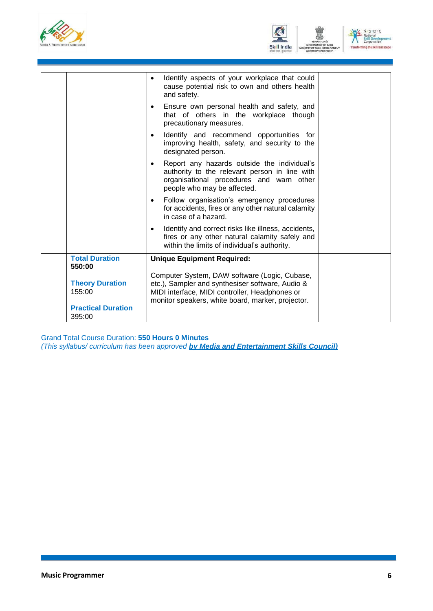





|                                                                         | Identify aspects of your workplace that could<br>$\bullet$<br>cause potential risk to own and others health<br>and safety.                                                                               |
|-------------------------------------------------------------------------|----------------------------------------------------------------------------------------------------------------------------------------------------------------------------------------------------------|
|                                                                         | Ensure own personal health and safety, and<br>$\bullet$<br>that of others in the workplace though<br>precautionary measures.                                                                             |
|                                                                         | Identify and recommend opportunities for<br>$\bullet$<br>improving health, safety, and security to the<br>designated person.                                                                             |
|                                                                         | Report any hazards outside the individual's<br>$\bullet$<br>authority to the relevant person in line with<br>organisational procedures and warn other<br>people who may be affected.                     |
|                                                                         | Follow organisation's emergency procedures<br>$\bullet$<br>for accidents, fires or any other natural calamity<br>in case of a hazard.                                                                    |
|                                                                         | Identify and correct risks like illness, accidents,<br>$\bullet$<br>fires or any other natural calamity safely and<br>within the limits of individual's authority.                                       |
| <b>Total Duration</b><br>550:00                                         | <b>Unique Equipment Required:</b>                                                                                                                                                                        |
| <b>Theory Duration</b><br>155:00<br><b>Practical Duration</b><br>395:00 | Computer System, DAW software (Logic, Cubase,<br>etc.), Sampler and synthesiser software, Audio &<br>MIDI interface, MIDI controller, Headphones or<br>monitor speakers, white board, marker, projector. |

Grand Total Course Duration: **550 Hours 0 Minutes** *(This syllabus/ curriculum has been approved by Media and Entertainment Skills Council)*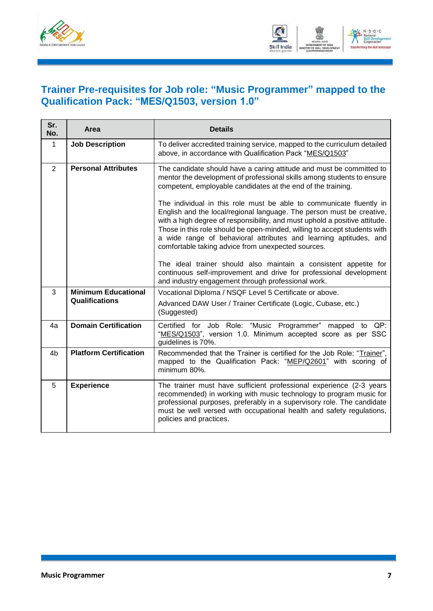



#### <span id="page-9-0"></span>**Trainer Pre-requisites for Job role: "Music Programmer" mapped to the Qualification Pack: "MES/Q1503, version 1.0"**

| Sr.<br>No.     | Area                          | <b>Details</b>                                                                                                                                                                                                                                                                                                                                                                                                                     |
|----------------|-------------------------------|------------------------------------------------------------------------------------------------------------------------------------------------------------------------------------------------------------------------------------------------------------------------------------------------------------------------------------------------------------------------------------------------------------------------------------|
| 1              | <b>Job Description</b>        | To deliver accredited training service, mapped to the curriculum detailed<br>above, in accordance with Qualification Pack "MES/Q1503"                                                                                                                                                                                                                                                                                              |
| 2              | <b>Personal Attributes</b>    | The candidate should have a caring attitude and must be committed to<br>mentor the development of professional skills among students to ensure<br>competent, employable candidates at the end of the training.                                                                                                                                                                                                                     |
|                |                               | The individual in this role must be able to communicate fluently in<br>English and the local/regional language. The person must be creative,<br>with a high degree of responsibility, and must uphold a positive attitude.<br>Those in this role should be open-minded, willing to accept students with<br>a wide range of behavioral attributes and learning aptitudes, and<br>comfortable taking advice from unexpected sources. |
|                |                               | The ideal trainer should also maintain a consistent appetite for<br>continuous self-improvement and drive for professional development<br>and industry engagement through professional work.                                                                                                                                                                                                                                       |
| 3              | <b>Minimum Educational</b>    | Vocational Diploma / NSQF Level 5 Certificate or above.                                                                                                                                                                                                                                                                                                                                                                            |
|                | Qualifications                | Advanced DAW User / Trainer Certificate (Logic, Cubase, etc.)<br>(Suggested)                                                                                                                                                                                                                                                                                                                                                       |
| 4a             | <b>Domain Certification</b>   | Certified for Job Role: "Music Programmer" mapped to QP:<br>"MES/Q1503", version 1.0. Minimum accepted score as per SSC<br>guidelines is 70%.                                                                                                                                                                                                                                                                                      |
| 4 <sub>b</sub> | <b>Platform Certification</b> | Recommended that the Trainer is certified for the Job Role: "Trainer",<br>mapped to the Qualification Pack: "MEP/Q2601" with scoring of<br>minimum 80%.                                                                                                                                                                                                                                                                            |
| 5              | <b>Experience</b>             | The trainer must have sufficient professional experience (2-3 years<br>recommended) in working with music technology to program music for<br>professional purposes, preferably in a supervisory role. The candidate<br>must be well versed with occupational health and safety regulations,<br>policies and practices.                                                                                                             |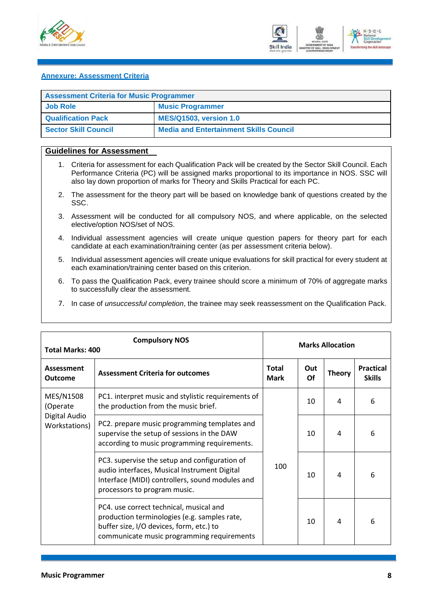



#### <span id="page-10-0"></span>**Annexure: Assessment Criteria**

| <b>Assessment Criteria for Music Programmer</b> |                                               |  |  |
|-------------------------------------------------|-----------------------------------------------|--|--|
| Job Role                                        | <b>Music Programmer</b>                       |  |  |
| <b>Qualification Pack</b>                       | <b>MES/Q1503, version 1.0</b>                 |  |  |
| Sector Skill Council                            | <b>Media and Entertainment Skills Council</b> |  |  |

#### **Guidelines for Assessment**

- 1. Criteria for assessment for each Qualification Pack will be created by the Sector Skill Council. Each Performance Criteria (PC) will be assigned marks proportional to its importance in NOS. SSC will also lay down proportion of marks for Theory and Skills Practical for each PC.
- 2. The assessment for the theory part will be based on knowledge bank of questions created by the SSC.
- 3. Assessment will be conducted for all compulsory NOS, and where applicable, on the selected elective/option NOS/set of NOS.
- 4. Individual assessment agencies will create unique question papers for theory part for each candidate at each examination/training center (as per assessment criteria below).
- 5. Individual assessment agencies will create unique evaluations for skill practical for every student at each examination/training center based on this criterion.
- 6. To pass the Qualification Pack, every trainee should score a minimum of 70% of aggregate marks to successfully clear the assessment.
- 7. In case of *unsuccessful completion*, the trainee may seek reassessment on the Qualification Pack.

| <b>Total Marks: 400</b>             | <b>Compulsory NOS</b>                                                                                                                                                             | <b>Marks Allocation</b>     |           |               |                                   |
|-------------------------------------|-----------------------------------------------------------------------------------------------------------------------------------------------------------------------------------|-----------------------------|-----------|---------------|-----------------------------------|
| <b>Assessment</b><br><b>Outcome</b> | <b>Assessment Criteria for outcomes</b>                                                                                                                                           | <b>Total</b><br><b>Mark</b> | Out<br>Of | <b>Theory</b> | <b>Practical</b><br><b>Skills</b> |
| MES/N1508<br>(Operate               | PC1. interpret music and stylistic requirements of<br>the production from the music brief.                                                                                        |                             | 10        | 4<br>4        | 6                                 |
| Digital Audio<br>Workstations)      | PC2. prepare music programming templates and<br>supervise the setup of sessions in the DAW<br>according to music programming requirements.                                        |                             | 10        |               | 6                                 |
|                                     | PC3. supervise the setup and configuration of<br>audio interfaces, Musical Instrument Digital<br>Interface (MIDI) controllers, sound modules and<br>processors to program music.  | 100                         | 10        | 4             | 6                                 |
|                                     | PC4. use correct technical, musical and<br>production terminologies (e.g. samples rate,<br>buffer size, I/O devices, form, etc.) to<br>communicate music programming requirements |                             | 10        | 4             | 6                                 |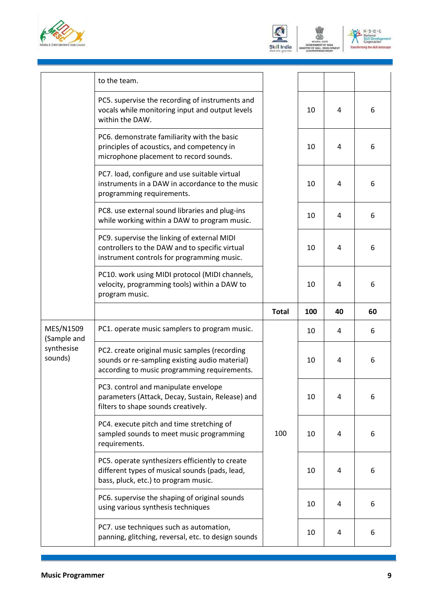





|                          | to the team.                                                                                                                                    |              |     |    |    |
|--------------------------|-------------------------------------------------------------------------------------------------------------------------------------------------|--------------|-----|----|----|
|                          | PC5. supervise the recording of instruments and<br>vocals while monitoring input and output levels<br>within the DAW.                           |              | 10  | 4  | 6  |
|                          | PC6. demonstrate familiarity with the basic<br>principles of acoustics, and competency in<br>microphone placement to record sounds.             |              | 10  | 4  | 6  |
|                          | PC7. load, configure and use suitable virtual<br>instruments in a DAW in accordance to the music<br>programming requirements.                   |              | 10  | 4  | 6  |
|                          | PC8. use external sound libraries and plug-ins<br>while working within a DAW to program music.                                                  |              | 10  | 4  | 6  |
|                          | PC9. supervise the linking of external MIDI<br>controllers to the DAW and to specific virtual<br>instrument controls for programming music.     |              | 10  | 4  | 6  |
|                          | PC10. work using MIDI protocol (MIDI channels,<br>velocity, programming tools) within a DAW to<br>program music.                                |              | 10  | 4  | 6  |
|                          |                                                                                                                                                 | <b>Total</b> | 100 | 40 | 60 |
| MES/N1509<br>(Sample and | PC1. operate music samplers to program music.                                                                                                   |              | 10  | 4  | 6  |
| synthesise<br>sounds)    | PC2. create original music samples (recording<br>sounds or re-sampling existing audio material)<br>according to music programming requirements. |              | 10  | 4  | 6  |
|                          | PC3. control and manipulate envelope<br>parameters (Attack, Decay, Sustain, Release) and<br>filters to shape sounds creatively.                 |              | 10  | 4  | 6  |
|                          | PC4. execute pitch and time stretching of<br>sampled sounds to meet music programming<br>requirements.                                          | 100          | 10  | 4  | 6  |
|                          | PC5. operate synthesizers efficiently to create<br>different types of musical sounds (pads, lead,<br>bass, pluck, etc.) to program music.       |              | 10  | 4  | 6  |
|                          | PC6. supervise the shaping of original sounds<br>using various synthesis techniques                                                             |              | 10  | 4  | 6  |
|                          | PC7. use techniques such as automation,<br>panning, glitching, reversal, etc. to design sounds                                                  |              | 10  | 4  | 6  |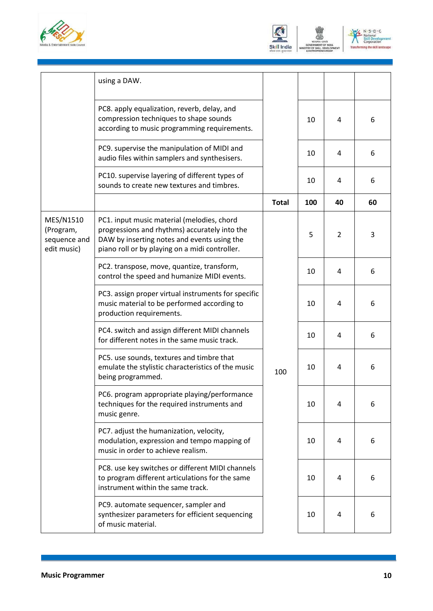





|                                                       | using a DAW.                                                                                                                                                                                 |              |     |                |    |
|-------------------------------------------------------|----------------------------------------------------------------------------------------------------------------------------------------------------------------------------------------------|--------------|-----|----------------|----|
|                                                       | PC8. apply equalization, reverb, delay, and<br>compression techniques to shape sounds<br>according to music programming requirements.                                                        |              | 10  | 4              | 6  |
|                                                       | PC9. supervise the manipulation of MIDI and<br>audio files within samplers and synthesisers.                                                                                                 |              | 10  | 4              | 6  |
|                                                       | PC10. supervise layering of different types of<br>sounds to create new textures and timbres.                                                                                                 |              | 10  | 4              | 6  |
|                                                       |                                                                                                                                                                                              | <b>Total</b> | 100 | 40             | 60 |
| MES/N1510<br>(Program,<br>sequence and<br>edit music) | PC1. input music material (melodies, chord<br>progressions and rhythms) accurately into the<br>DAW by inserting notes and events using the<br>piano roll or by playing on a midi controller. |              | 5   | $\overline{2}$ | 3  |
|                                                       | PC2. transpose, move, quantize, transform,<br>control the speed and humanize MIDI events.                                                                                                    |              | 10  | 4              | 6  |
|                                                       | PC3. assign proper virtual instruments for specific<br>music material to be performed according to<br>production requirements.                                                               |              | 10  | 4              | 6  |
|                                                       | PC4. switch and assign different MIDI channels<br>for different notes in the same music track.                                                                                               |              | 10  | 4              | 6  |
|                                                       | PC5. use sounds, textures and timbre that<br>emulate the stylistic characteristics of the music<br>being programmed.                                                                         | 100          | 10  | 4              | 6  |
|                                                       | PC6. program appropriate playing/performance<br>techniques for the required instruments and<br>music genre.                                                                                  |              | 10  | 4              | 6  |
|                                                       | PC7. adjust the humanization, velocity,<br>modulation, expression and tempo mapping of<br>music in order to achieve realism.                                                                 |              | 10  | 4              | 6  |
|                                                       | PC8. use key switches or different MIDI channels<br>to program different articulations for the same<br>instrument within the same track.                                                     |              | 10  | 4              | 6  |
|                                                       | PC9. automate sequencer, sampler and<br>synthesizer parameters for efficient sequencing<br>of music material.                                                                                |              | 10  | 4              | 6  |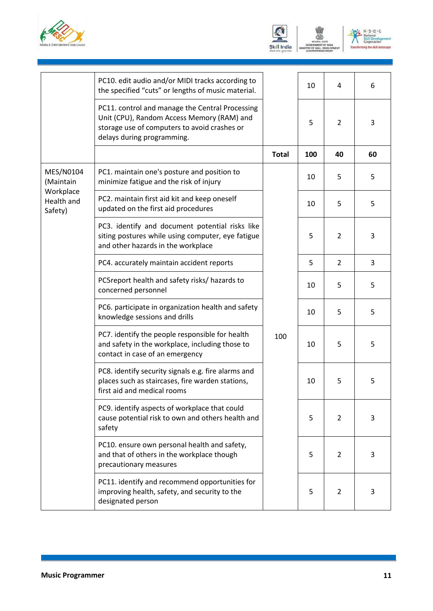





|                                                              | PC10. edit audio and/or MIDI tracks according to<br>the specified "cuts" or lengths of music material.                                                                      |              | 10  | 4              | 6  |
|--------------------------------------------------------------|-----------------------------------------------------------------------------------------------------------------------------------------------------------------------------|--------------|-----|----------------|----|
|                                                              | PC11. control and manage the Central Processing<br>Unit (CPU), Random Access Memory (RAM) and<br>storage use of computers to avoid crashes or<br>delays during programming. |              | 5   | 2              | 3  |
|                                                              |                                                                                                                                                                             | <b>Total</b> | 100 | 40             | 60 |
| MES/N0104<br>(Maintain<br>Workplace<br>Health and<br>Safety) | PC1. maintain one's posture and position to<br>minimize fatigue and the risk of injury                                                                                      |              | 10  | 5              | 5  |
|                                                              | PC2. maintain first aid kit and keep oneself<br>updated on the first aid procedures                                                                                         |              | 10  | 5              | 5  |
|                                                              | PC3. identify and document potential risks like<br>siting postures while using computer, eye fatigue<br>and other hazards in the workplace                                  |              | 5   | $\overline{2}$ | 3  |
|                                                              | PC4. accurately maintain accident reports                                                                                                                                   |              | 5   | $\overline{2}$ | 3  |
|                                                              | PC5report health and safety risks/ hazards to<br>concerned personnel                                                                                                        |              | 10  | 5              | 5  |
|                                                              | PC6. participate in organization health and safety<br>knowledge sessions and drills                                                                                         |              | 10  | 5              | 5  |
|                                                              | PC7. identify the people responsible for health<br>and safety in the workplace, including those to<br>contact in case of an emergency                                       | 100          | 10  | 5              | 5  |
|                                                              | PC8. identify security signals e.g. fire alarms and<br>places such as staircases, fire warden stations,<br>first aid and medical rooms                                      |              | 10  | 5              | 5  |
|                                                              | PC9. identify aspects of workplace that could<br>cause potential risk to own and others health and<br>safety                                                                |              | 5   | 2              | 3  |
|                                                              | PC10. ensure own personal health and safety,<br>and that of others in the workplace though<br>precautionary measures                                                        |              | 5   | $\overline{2}$ | 3  |
|                                                              | PC11. identify and recommend opportunities for<br>improving health, safety, and security to the<br>designated person                                                        |              | 5   | $\overline{2}$ | 3  |